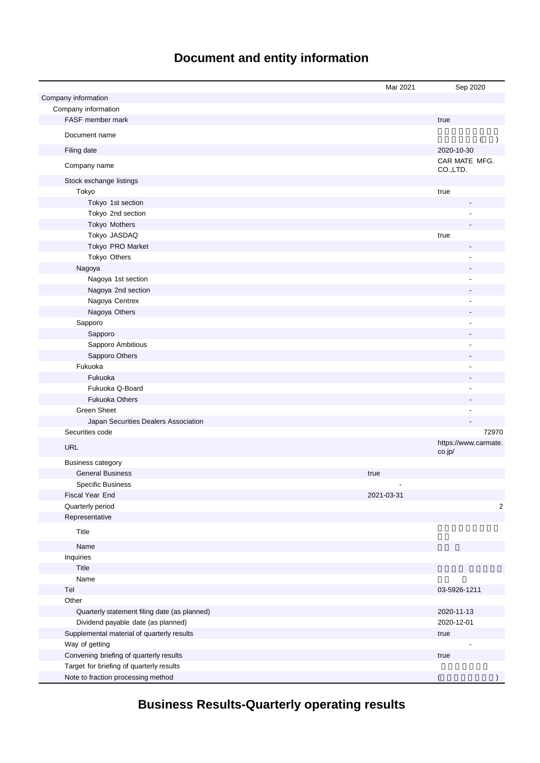# **Document and entity information**

|                                              | Mar 2021   | Sep 2020                  |
|----------------------------------------------|------------|---------------------------|
| Company information                          |            |                           |
| Company information                          |            |                           |
| FASF member mark                             |            | true                      |
| Document name                                |            | $\lambda$                 |
| Filing date                                  |            | 2020-10-30                |
| Company name                                 |            | CAR MATE MFG.<br>CO.,LTD. |
| Stock exchange listings                      |            |                           |
| Tokyo                                        |            | true                      |
| Tokyo 1st section                            |            |                           |
| Tokyo 2nd section                            |            |                           |
| Tokyo Mothers                                |            |                           |
| Tokyo JASDAQ                                 |            | true                      |
| Tokyo PRO Market                             |            |                           |
| Tokyo Others                                 |            |                           |
| Nagoya                                       |            |                           |
| Nagoya 1st section                           |            |                           |
| Nagoya 2nd section                           |            |                           |
| Nagoya Centrex                               |            |                           |
| Nagoya Others                                |            |                           |
| Sapporo                                      |            |                           |
| Sapporo                                      |            |                           |
| Sapporo Ambitious                            |            |                           |
| Sapporo Others                               |            |                           |
| Fukuoka                                      |            |                           |
| Fukuoka                                      |            |                           |
| Fukuoka Q-Board                              |            |                           |
| <b>Fukuoka Others</b>                        |            |                           |
| <b>Green Sheet</b>                           |            |                           |
| Japan Securities Dealers Association         |            |                           |
| Securities code                              |            | 72970                     |
| <b>URL</b>                                   |            | https://www.carmate.      |
|                                              |            | co.jp/                    |
| <b>Business category</b>                     |            |                           |
| <b>General Business</b>                      | true       |                           |
| <b>Specific Business</b>                     |            |                           |
| Fiscal Year End                              | 2021-03-31 |                           |
| Quarterly period                             |            | 2                         |
| Representative                               |            |                           |
| Title                                        |            |                           |
| Name                                         |            |                           |
| Inquiries                                    |            |                           |
| Title                                        |            |                           |
| Name                                         |            |                           |
| Tel                                          |            | 03-5926-1211              |
| Other                                        |            |                           |
| Quarterly statement filing date (as planned) |            | 2020-11-13                |
| Dividend payable date (as planned)           |            | 2020-12-01                |
| Supplemental material of quarterly results   |            | true                      |
| Way of getting                               |            |                           |
| Convening briefing of quarterly results      |            | true                      |
| Target for briefing of quarterly results     |            |                           |
| Note to fraction processing method           |            |                           |

**Business Results-Quarterly operating results**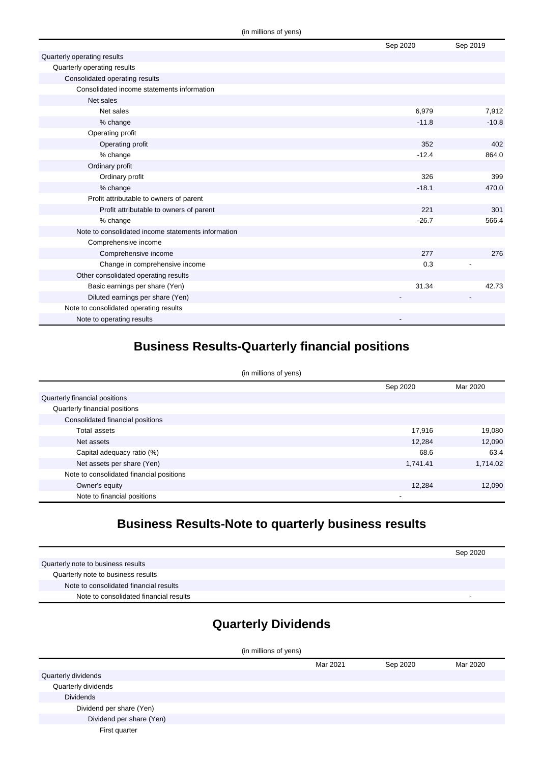|                                                    | Sep 2020 | Sep 2019 |
|----------------------------------------------------|----------|----------|
| Quarterly operating results                        |          |          |
| Quarterly operating results                        |          |          |
| Consolidated operating results                     |          |          |
| Consolidated income statements information         |          |          |
| Net sales                                          |          |          |
| Net sales                                          | 6,979    | 7,912    |
| % change                                           | $-11.8$  | $-10.8$  |
| Operating profit                                   |          |          |
| Operating profit                                   | 352      | 402      |
| % change                                           | $-12.4$  | 864.0    |
| Ordinary profit                                    |          |          |
| Ordinary profit                                    | 326      | 399      |
| % change                                           | $-18.1$  | 470.0    |
| Profit attributable to owners of parent            |          |          |
| Profit attributable to owners of parent            | 221      | 301      |
| % change                                           | $-26.7$  | 566.4    |
| Note to consolidated income statements information |          |          |
| Comprehensive income                               |          |          |
| Comprehensive income                               | 277      | 276      |
| Change in comprehensive income                     | 0.3      |          |
| Other consolidated operating results               |          |          |
| Basic earnings per share (Yen)                     | 31.34    | 42.73    |
| Diluted earnings per share (Yen)                   |          |          |
| Note to consolidated operating results             |          |          |
| Note to operating results                          |          |          |

# **Business Results-Quarterly financial positions**

|  |  | (in millions of yens) |  |
|--|--|-----------------------|--|
|--|--|-----------------------|--|

|                                          | Sep 2020 | Mar 2020 |
|------------------------------------------|----------|----------|
| Quarterly financial positions            |          |          |
| Quarterly financial positions            |          |          |
| Consolidated financial positions         |          |          |
| Total assets                             | 17,916   | 19,080   |
| Net assets                               | 12,284   | 12,090   |
| Capital adequacy ratio (%)               | 68.6     | 63.4     |
| Net assets per share (Yen)               | 1.741.41 | 1,714.02 |
| Note to consolidated financial positions |          |          |
| Owner's equity                           | 12,284   | 12,090   |
| Note to financial positions              |          |          |

# **Business Results-Note to quarterly business results**

|                                        | Sep 2020 |
|----------------------------------------|----------|
| Quarterly note to business results     |          |
| Quarterly note to business results     |          |
| Note to consolidated financial results |          |
| Note to consolidated financial results |          |

## **Quarterly Dividends**

| (in millions of yens)    |          |          |          |
|--------------------------|----------|----------|----------|
|                          | Mar 2021 | Sep 2020 | Mar 2020 |
| Quarterly dividends      |          |          |          |
| Quarterly dividends      |          |          |          |
| <b>Dividends</b>         |          |          |          |
| Dividend per share (Yen) |          |          |          |
| Dividend per share (Yen) |          |          |          |
| First quarter            |          |          |          |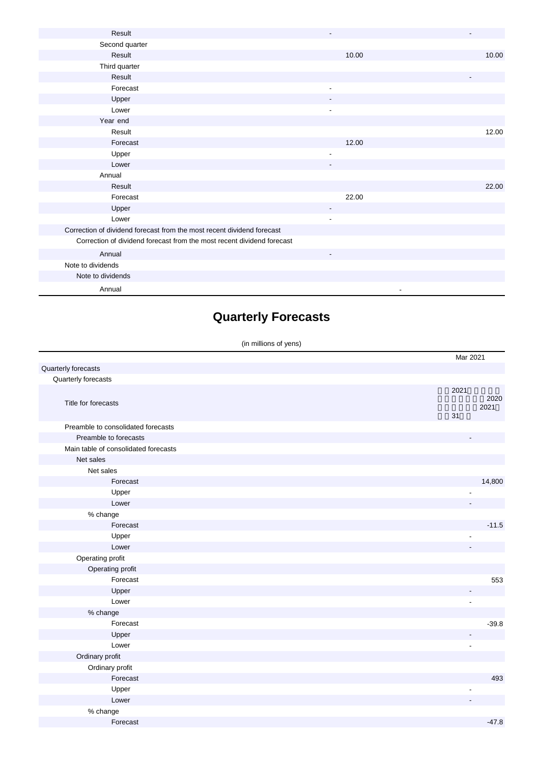| Result                                                                 | $\overline{\phantom{a}}$ |       |
|------------------------------------------------------------------------|--------------------------|-------|
| Second quarter                                                         |                          |       |
| Result                                                                 | 10.00                    | 10.00 |
| Third quarter                                                          |                          |       |
| Result                                                                 |                          |       |
| Forecast                                                               | ٠                        |       |
| Upper                                                                  |                          |       |
| Lower                                                                  | ٠                        |       |
| Year end                                                               |                          |       |
| Result                                                                 |                          | 12.00 |
| Forecast                                                               | 12.00                    |       |
| Upper                                                                  | $\overline{\phantom{a}}$ |       |
| Lower                                                                  | ۰                        |       |
| Annual                                                                 |                          |       |
| Result                                                                 |                          | 22.00 |
| Forecast                                                               | 22.00                    |       |
| Upper                                                                  |                          |       |
| Lower                                                                  | ٠                        |       |
| Correction of dividend forecast from the most recent dividend forecast |                          |       |
| Correction of dividend forecast from the most recent dividend forecast |                          |       |
| Annual                                                                 |                          |       |
| Note to dividends                                                      |                          |       |
| Note to dividends                                                      |                          |       |
| Annual                                                                 |                          |       |

## **Quarterly Forecasts**

#### (in millions of yens)

|                                      | Mar 2021                 |         |
|--------------------------------------|--------------------------|---------|
| Quarterly forecasts                  |                          |         |
| Quarterly forecasts                  |                          |         |
| Title for forecasts                  | 2021<br>2021<br>31       | 2020    |
| Preamble to consolidated forecasts   |                          |         |
| Preamble to forecasts                |                          |         |
| Main table of consolidated forecasts |                          |         |
| Net sales                            |                          |         |
| Net sales                            |                          |         |
| Forecast                             |                          | 14,800  |
| Upper                                |                          |         |
| Lower                                |                          |         |
| % change                             |                          |         |
| Forecast                             |                          | $-11.5$ |
| Upper                                |                          |         |
| Lower                                |                          |         |
| Operating profit                     |                          |         |
| Operating profit                     |                          |         |
| Forecast                             |                          | 553     |
| Upper                                |                          |         |
| Lower                                | $\overline{\phantom{a}}$ |         |
| % change                             |                          |         |
| Forecast                             |                          | $-39.8$ |
| Upper                                |                          |         |
| Lower                                |                          |         |
| Ordinary profit                      |                          |         |
| Ordinary profit                      |                          |         |
| Forecast                             |                          | 493     |
| Upper                                |                          |         |
| Lower                                |                          |         |
| % change                             |                          |         |
| Forecast                             |                          | $-47.8$ |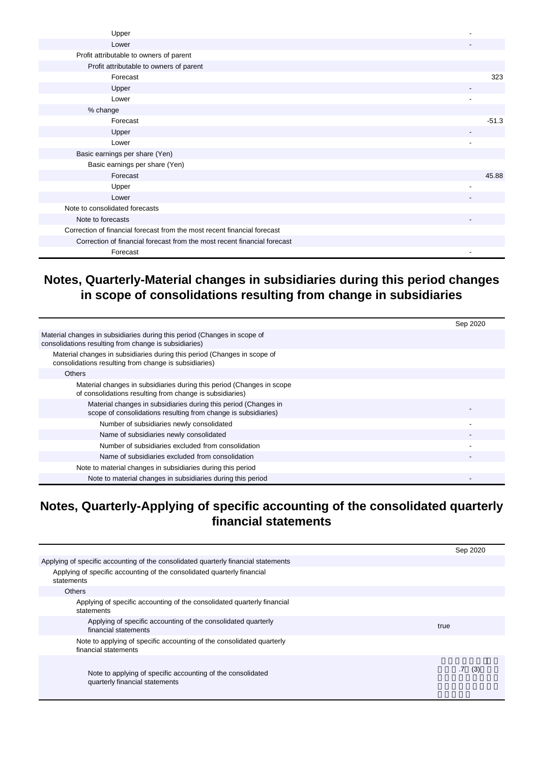| Upper                                                                    |         |
|--------------------------------------------------------------------------|---------|
| Lower                                                                    |         |
| Profit attributable to owners of parent                                  |         |
| Profit attributable to owners of parent                                  |         |
| Forecast                                                                 | 323     |
| Upper                                                                    |         |
| Lower                                                                    |         |
| % change                                                                 |         |
| Forecast                                                                 | $-51.3$ |
| Upper                                                                    |         |
| Lower                                                                    |         |
| Basic earnings per share (Yen)                                           |         |
| Basic earnings per share (Yen)                                           |         |
| Forecast                                                                 | 45.88   |
| Upper                                                                    |         |
| Lower                                                                    |         |
| Note to consolidated forecasts                                           |         |
| Note to forecasts                                                        |         |
| Correction of financial forecast from the most recent financial forecast |         |
| Correction of financial forecast from the most recent financial forecast |         |
| Forecast                                                                 |         |

### **Notes, Quarterly-Material changes in subsidiaries during this period changes in scope of consolidations resulting from change in subsidiaries**

|                                                                                                                                   | Sep 2020 |
|-----------------------------------------------------------------------------------------------------------------------------------|----------|
| Material changes in subsidiaries during this period (Changes in scope of<br>consolidations resulting from change is subsidiaries) |          |
| Material changes in subsidiaries during this period (Changes in scope of<br>consolidations resulting from change is subsidiaries) |          |
| <b>Others</b>                                                                                                                     |          |
| Material changes in subsidiaries during this period (Changes in scope<br>of consolidations resulting from change is subsidiaries) |          |
| Material changes in subsidiaries during this period (Changes in<br>scope of consolidations resulting from change is subsidiaries) |          |
| Number of subsidiaries newly consolidated                                                                                         |          |
| Name of subsidiaries newly consolidated                                                                                           |          |
| Number of subsidiaries excluded from consolidation                                                                                |          |
| Name of subsidiaries excluded from consolidation                                                                                  |          |
| Note to material changes in subsidiaries during this period                                                                       |          |
| Note to material changes in subsidiaries during this period                                                                       |          |

### **Notes, Quarterly-Applying of specific accounting of the consolidated quarterly financial statements**

|                                                                                               | Sep 2020  |
|-----------------------------------------------------------------------------------------------|-----------|
| Applying of specific accounting of the consolidated quarterly financial statements            |           |
| Applying of specific accounting of the consolidated quarterly financial<br>statements         |           |
| <b>Others</b>                                                                                 |           |
| Applying of specific accounting of the consolidated quarterly financial<br>statements         |           |
| Applying of specific accounting of the consolidated quarterly<br>financial statements         | true      |
| Note to applying of specific accounting of the consolidated quarterly<br>financial statements |           |
| Note to applying of specific accounting of the consolidated<br>quarterly financial statements | .7<br>(3) |